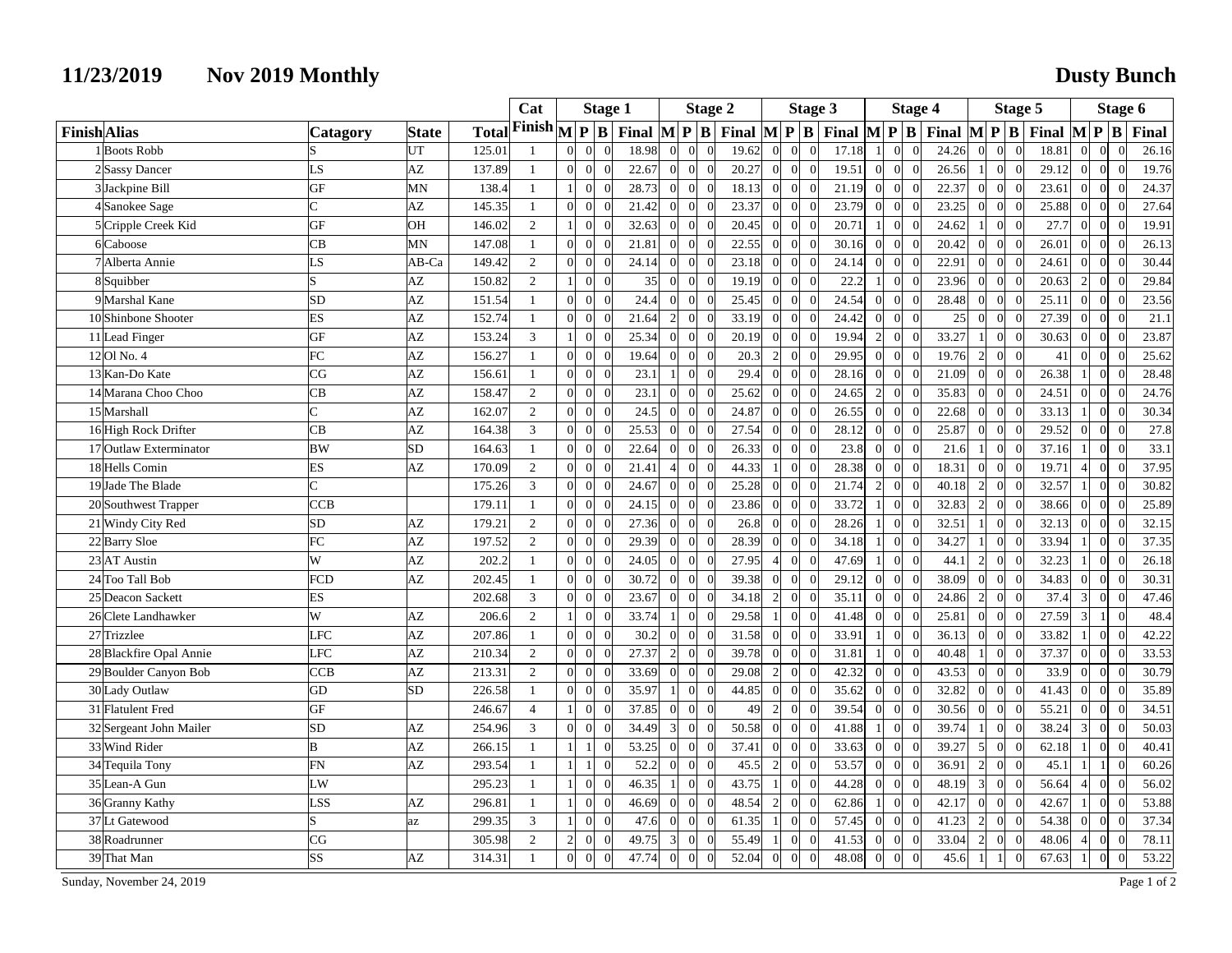## **11/23/2019 Nov 2019 Monthly Dusty Bunch**

|                     |                         |                |                 |              | Cat                                  | <b>Stage 1</b>                   |                            |  | <b>Stage 2</b>                           |                                   |                |                                             | Stage 3          |                                  |       |      | <b>Stage 4</b>                           |          |                                          | Stage 5        |                            |                                             |                          | Stage 6                    |       |
|---------------------|-------------------------|----------------|-----------------|--------------|--------------------------------------|----------------------------------|----------------------------|--|------------------------------------------|-----------------------------------|----------------|---------------------------------------------|------------------|----------------------------------|-------|------|------------------------------------------|----------|------------------------------------------|----------------|----------------------------|---------------------------------------------|--------------------------|----------------------------|-------|
| <b>Finish</b> Alias |                         | Catagory       | <b>State</b>    | <b>Total</b> | Finish $\sqrt{\mathbf{P}}\mathbf{B}$ |                                  |                            |  | Final $\mathbf{M} \mathbf{P} \mathbf{B}$ |                                   |                | Final $\left  M \right  P \left  B \right $ |                  |                                  |       |      | Final $\mathbf{M} \mathbf{P} \mathbf{B}$ |          | Final $\mathbf{M} \mathbf{P} \mathbf{B}$ |                |                            | Final $\left  M \right  P \left  B \right $ |                          |                            | Final |
|                     | 1 Boots Robb            |                | UT              | 125.01       |                                      | $\overline{0}$                   | $\Omega$<br>$\Omega$       |  | 18.98                                    | $\vert$ 0<br>$\Omega$             | $\Omega$       | 19.62                                       | $\theta$         | $\Omega$<br>$\theta$             | 17.18 |      | $\Omega$                                 |          | 24.26                                    | $\Omega$       | $\vert$<br>$\Omega$        | 18.81                                       | $\Omega$                 | $\Omega$<br>$\Omega$       | 26.16 |
|                     | 2 Sassy Dancer          | LS             | AZ              | 137.89       | $\mathbf{1}$                         | $\overline{0}$                   | $\theta$<br>$\Omega$       |  | 22.67                                    | $\overline{0}$<br>$\vert 0 \vert$ | $\overline{0}$ | 20.27                                       | $\overline{0}$   | $\overline{0}$<br>$\overline{0}$ | 19.51 |      | $\overline{0}$<br>$\Omega$               | $\Omega$ | 26.56                                    | -1             | 0 <br>$\overline{0}$       | 29.12                                       | $\theta$                 | $\overline{0}$<br>$\Omega$ | 19.76 |
|                     | 3 Jackpine Bill         | GF             | MN              | 138.4        |                                      |                                  | $\mathbf{0}$               |  | 28.73                                    | $\vert 0 \vert$<br>$\vert$ 0      | $\Omega$       | 18.13                                       | $\boldsymbol{0}$ | $\Omega$<br>$\theta$             | 21.19 |      | $\overline{0}$                           |          | 22.37                                    | $\Omega$       | $\vert$<br>$\Omega$        | 23.61                                       | $\Omega$                 | $\Omega$                   | 24.37 |
|                     | 4 Sanokee Sage          | $\overline{C}$ | AZ              | 145.35       |                                      | $\Omega$                         | $\Omega$<br>$\Omega$       |  | 21.42                                    | $\vert$ 0<br>$\vert$ 0            | $\Omega$       | 23.37                                       | $\overline{0}$   | $\Omega$<br>$\Omega$             | 23.79 |      | $\overline{0}$                           |          | 23.25                                    | $\Omega$       | $\overline{0}$<br>$\theta$ | 25.88                                       | $\Omega$                 | $\Omega$<br>$\Omega$       | 27.64 |
|                     | 5 Cripple Creek Kid     | <b>GF</b>      | OН              | 146.02       | $\overline{2}$                       | $\vert$                          | $\Omega$                   |  | 32.63                                    | $\vert 0 \vert$<br>$\vert$ 0      | $\Omega$       | 20.45                                       | $\overline{0}$   | $\Omega$<br>$\Omega$             | 20.71 |      | $\overline{0}$                           |          | 24.62                                    |                | $\overline{0}$<br>$\Omega$ | 27.7                                        | $\Omega$                 | $\Omega$                   | 19.91 |
|                     | 6Caboose                | CB             | MN              | 147.08       | $\mathbf{1}$                         | $\overline{0}$                   | $\Omega$                   |  | 21.81                                    | $\Omega$<br>$\vert 0 \vert$       | $\Omega$       | 22.55                                       | $\overline{0}$   | $\Omega$<br>$\Omega$             | 30.16 |      | $\overline{0}$                           |          | 20.42                                    | $\Omega$       | $\overline{0}$<br>$\theta$ | 26.01                                       | $\Omega$                 | $\Omega$                   | 26.13 |
|                     | 7 Alberta Annie         | LS             | AB-Ca           | 149.42       | 2                                    | 0                                | $\Omega$<br>$\Omega$       |  | 24.14                                    | $\vert$ 0<br>$\vert$ 0            | $\theta$       | 23.18                                       | $\overline{0}$   | $\Omega$<br>$\overline{0}$       | 24.14 |      | $\mathbf{0}$                             | $\Omega$ | 22.91                                    | $\Omega$       | $\vert$ 0<br>$\Omega$      | 24.61                                       | $\overline{0}$           | $\Omega$<br>$\Omega$       | 30.44 |
|                     | 8Squibber               | S              | AZ              | 150.82       | $\overline{2}$                       | $\mathbf{1}$                     | $\overline{0}$<br>$\Omega$ |  | 35                                       | $\overline{0}$<br>$\vert$ 0       | $\theta$       | 19.19                                       | $\overline{0}$   | $\theta$<br>$\Omega$             |       | 22.2 | $\overline{0}$                           |          | 23.96                                    | $\Omega$       | $\mathbf{0}$<br>$\theta$   | 20.63                                       | $\overline{2}$           | $\overline{0}$             | 29.84 |
|                     | 9 Marshal Kane          | <b>SD</b>      | AZ              | 151.54       | $\mathbf{1}$                         | $\Omega$                         | $\Omega$<br>$\Omega$       |  | 24.4                                     | $\vert$ 0<br>$\vert$ 0            | $\theta$       | 25.45                                       | $\overline{0}$   | $\Omega$<br>$\Omega$             | 24.54 |      | $\overline{0}$                           | $\Omega$ | 28.48                                    | $\Omega$       | $\overline{0}$<br>$\Omega$ | 25.11                                       | $\Omega$                 | $\Omega$<br>$\Omega$       | 23.56 |
|                     | 10 Shinbone Shooter     | <b>ES</b>      | AZ              | 152.74       | $\mathbf{1}$                         | $\overline{0}$                   | $\Omega$<br>$\Omega$       |  | 21.64                                    | 2<br>$\overline{0}$               | $\Omega$       | 33.19                                       | $\overline{0}$   | $\overline{0}$<br>$\overline{0}$ | 24.42 |      | $\overline{0}$                           | $\Omega$ | 25                                       | $\Omega$       | $\overline{0}$<br>$\Omega$ | 27.39                                       | $\Omega$                 | $\Omega$<br>$\Omega$       | 21.1  |
|                     | 11 Lead Finger          | GF             | AZ              | 153.24       | 3                                    | $\mathbf{1}$                     | $\Omega$                   |  | 25.34                                    | $\Omega$<br>$\vert 0 \vert$       | $\theta$       | 20.19                                       | $\overline{0}$   | $\overline{0}$<br>$\Omega$       | 19.94 |      | $\overline{0}$                           |          | 33.27                                    |                | $\vert$<br>$\theta$        | 30.63                                       | $\Omega$                 | $\Omega$                   | 23.87 |
|                     | 12 Ol No. 4             | FC             | AZ              | 156.27       | $\mathbf{1}$                         | 0                                | $\Omega$<br>$\theta$       |  | 19.64                                    | $\vert$ 0<br>$\vert$ 0            | $\Omega$       | 20.3                                        | $\overline{2}$   | $\Omega$<br>$\overline{0}$       | 29.95 |      | $\overline{0}$                           | $\Omega$ | 19.76                                    | $\overline{2}$ | $\vert$ 0<br>$\theta$      | 41                                          | $\Omega$                 | $\Omega$                   | 25.62 |
|                     | 13 Kan-Do Kate          | CG             | AZ              | 156.61       | $\mathbf{1}$                         | $\overline{0}$                   | $\Omega$<br>$\Omega$       |  | 23.1<br>-1                               | $\vert 0 \vert$                   | $\theta$       | 29.4                                        | $\overline{0}$   | $\theta$<br>$\Omega$             | 28.16 |      | $\overline{0}$                           |          | 21.09                                    | $\Omega$       | $\overline{0}$<br>$\theta$ | 26.38                                       |                          | $\overline{0}$             | 28.48 |
|                     | 14 Marana Choo Choo     | CB             | AZ              | 158.47       | $\overline{2}$                       | $\Omega$                         | $\Omega$<br>$\Omega$       |  | 23.1                                     | $\vert$ 0<br>$\vert$ 0            | $\Omega$       | 25.62                                       | $\theta$         | $\Omega$<br>$\Omega$             | 24.65 |      | $\overline{0}$                           |          | 35.83                                    | $\Omega$       | $\vert$<br>$\Omega$        | 24.51                                       | $\Omega$                 | $\Omega$<br>$\Omega$       | 24.76 |
|                     | 15 Marshall             | $\overline{C}$ | AZ              | 162.07       | $\overline{2}$                       | $\overline{0}$                   | $\Omega$<br>$\Omega$       |  | 24.5                                     | $\vert$ 0<br>$\vert$ 0            | $\Omega$       | 24.87                                       | $\Omega$         | $\Omega$<br>$\Omega$             | 26.55 |      | $\overline{0}$                           |          | 22.68                                    | $\Omega$       | $\overline{0}$<br>$\Omega$ | 33.13                                       |                          | $\Omega$<br>$\Omega$       | 30.34 |
|                     | 16 High Rock Drifter    | CB             | $\overline{AZ}$ | 164.38       | $\mathfrak{Z}$                       | $\overline{0}$                   | $\Omega$<br>$\Omega$       |  | 25.53                                    | $\theta$<br>$\vert 0 \vert$       | $\Omega$       | 27.54                                       | $\overline{0}$   | $\Omega$<br>$\theta$             | 28.12 |      | $\overline{0}$                           |          | 25.87                                    | $\Omega$       | $\overline{0}$<br>$\Omega$ | 29.52                                       | $\Omega$                 | $\Omega$<br>$\Omega$       | 27.8  |
|                     | 17 Outlaw Exterminator  | <b>BW</b>      | <b>SD</b>       | 164.63       | $\mathbf{1}$                         | $\Omega$                         | $\Omega$<br>$\Omega$       |  | 22.64                                    | $\vert$ 0<br>$\Omega$             | $\theta$       | 26.33                                       | $\Omega$         | $\Omega$<br>$\Omega$             |       | 23.8 | $\Omega$                                 | $\Omega$ | 21.6                                     |                | $\overline{0}$<br>$\Omega$ | 37.16                                       | $\overline{1}$           | $\Omega$<br>$\Omega$       | 33.1  |
|                     | 18 Hells Comin          | <b>ES</b>      | AZ              | 170.09       | 2                                    | $\overline{0}$                   | $\mathbf{0}$<br>$\Omega$   |  | 21.41                                    | $\overline{0}$<br>$\overline{4}$  | $\overline{0}$ | 44.33                                       | $\mathbf{1}$     | $\Omega$<br>$\overline{0}$       | 28.38 |      | $\overline{0}$                           | $\Omega$ | 18.31                                    | $\Omega$       | $\overline{0}$<br>$\theta$ | 19.71                                       |                          | $\overline{0}$<br>$\Omega$ | 37.95 |
|                     | 19 Jade The Blade       | $\overline{C}$ |                 | 175.26       | 3                                    | $\overline{0}$                   | $\Omega$                   |  | 24.67                                    | $\vert$ 0<br>$\vert$ 0            | $\Omega$       | 25.28                                       | $\overline{0}$   | $\Omega$<br>$\Omega$             | 21.74 |      | $\overline{0}$                           |          | 40.18                                    | $\mathcal{D}$  | $\vert$<br>$\Omega$        | 32.57                                       |                          | $\Omega$                   | 30.82 |
|                     | 20 Southwest Trapper    | <b>CCB</b>     |                 | 179.11       | $\mathbf{1}$                         | $\Omega$                         | $\overline{0}$<br>$\Omega$ |  | 24.15                                    | $\vert$ 0<br>$\overline{0}$       | $\theta$       | 23.86                                       | $\Omega$         | $\Omega$<br>$\Omega$             | 33.72 |      | $\overline{0}$                           | $\Omega$ | 32.83                                    | $\overline{2}$ | $\vert$<br>$\theta$        | 38.66                                       | $\Omega$                 | $\Omega$<br>$\Omega$       | 25.89 |
|                     | 21 Windy City Red       | <b>SD</b>      | AΖ              | 179.21       | $\sqrt{2}$                           | $\overline{0}$                   | $\Omega$                   |  | 27.36                                    | $\vert 0 \vert$<br>$\vert$ 0      | $\theta$       | 26.8                                        | $\theta$         | $\Omega$<br>$\Omega$             | 28.26 |      | $\overline{0}$                           |          | 32.51                                    |                | $\overline{0}$             | 32.13                                       | $\Omega$                 | $\Omega$                   | 32.15 |
|                     | 22 Barry Sloe           | FC             | AZ              | 197.52       | 2                                    | $\Omega$                         | $\Omega$<br>$\Omega$       |  | 29.39                                    | $\Omega$<br>$\vert$ 0             | $\theta$       | 28.39                                       | $\Omega$         | $\Omega$<br>$\Omega$             | 34.18 |      | $\overline{0}$                           | $\Omega$ | 34.27                                    |                | $\overline{0}$<br>$\Omega$ | 33.94                                       | $\overline{1}$           | $\Omega$                   | 37.35 |
|                     | 23 AT Austin            | W              | AZ              | 202.2        | $\mathbf{1}$                         | 0                                | $\overline{0}$<br>$\Omega$ |  | 24.05                                    | $\overline{0}$<br>$\overline{0}$  | $\theta$       | 27.95                                       | $\overline{4}$   | $\Omega$<br>$\overline{0}$       | 47.69 |      | $\overline{0}$                           | $\Omega$ | 44.1                                     | $\overline{2}$ | $\overline{0}$<br>$\theta$ | 32.23                                       | $\overline{1}$           | $\overline{0}$             | 26.18 |
|                     | 24 Too Tall Bob         | <b>FCD</b>     | AZ              | 202.45       |                                      | $\overline{0}$                   | $\Omega$                   |  | 30.72                                    | $\vert 0 \vert$<br>$\vert$ 0      | $\Omega$       | 39.38                                       | $\overline{0}$   | $\Omega$<br>$\Omega$             | 29.12 |      | $\overline{0}$                           |          | 38.09                                    | $\Omega$       | $\mathbf{0}$<br>$\Omega$   | 34.83                                       | $\Omega$                 | $\Omega$                   | 30.31 |
|                     | 25 Deacon Sackett       | <b>ES</b>      |                 | 202.68       | $\mathbf{3}$                         | $\Omega$                         | $\Omega$<br>$\Omega$       |  | 23.67                                    | $\vert$ 0<br>$\vert$ 0            | $\Omega$       | 34.18                                       | $\overline{2}$   | $\Omega$<br>$\Omega$             | 35.11 |      | $\overline{0}$<br>$\Omega$               | $\Omega$ | 24.86                                    | $\overline{2}$ | $\overline{0}$<br>$\Omega$ | 37.4                                        | 3                        | $\Omega$<br>$\Omega$       | 47.46 |
|                     | 26 Clete Landhawker     | W              | AΖ              | 206.6        | $\overline{c}$                       | 1 <sup>1</sup>                   | $\overline{0}$             |  | 33.74                                    | $\vert 0 \vert$                   | $\Omega$       | 29.58                                       |                  | $\Omega$                         | 41.48 |      | $\overline{0}$                           |          | 25.81                                    |                | $\overline{0}$             | 27.59                                       | $\overline{\mathcal{E}}$ | $\Omega$                   | 48.4  |
|                     | 27 Trizzlee             | LFC            | AZ              | 207.86       | $\mathbf{1}$                         | $\overline{0}$                   | $\Omega$<br>$\Omega$       |  | 30.2                                     | $\vert$ 0<br>$\Omega$             | $\Omega$       | 31.58                                       | $\Omega$         | $\Omega$<br>$\Omega$             | 33.91 |      | $\theta$                                 |          | 36.13                                    | $\Omega$       | $\overline{0}$<br>$\Omega$ | 33.82                                       |                          | $\Omega$<br>$\Omega$       | 42.22 |
|                     | 28 Blackfire Opal Annie | LFC            | AZ              | 210.34       | $\overline{2}$                       | $\overline{0}$                   | $\mathbf{0}$<br>$\Omega$   |  | 27.37                                    | 2<br>$\overline{0}$               | $\theta$       | 39.78                                       | $\overline{0}$   | $\Omega$<br>$\overline{0}$       | 31.81 |      | $\overline{0}$                           | $\Omega$ | 40.48                                    |                | $\overline{0}$<br>$\theta$ | 37.37                                       | $\overline{0}$           | $\Omega$                   | 33.53 |
|                     | 29 Boulder Canyon Bob   | <b>CCB</b>     | AZ              | 213.31       | 2                                    | $\overline{0}$                   | $\overline{0}$<br>$\Omega$ |  | 33.69                                    | $\vert$ 0<br>$\vert$ 0            | $\Omega$       | 29.08                                       | $\sqrt{2}$       | $\Omega$<br>$\Omega$             | 42.32 |      | $\overline{0}$                           |          | 43.53                                    | $\Omega$       | $\overline{0}$<br>$\Omega$ | 33.9                                        | $\Omega$                 | $\Omega$                   | 30.79 |
|                     | 30 Lady Outlaw          | GD             | <b>SD</b>       | 226.58       | $\mathbf{1}$                         | $\Omega$                         | $\Omega$<br>$\Omega$       |  | 35.97                                    | $\vert$ 0<br>$\overline{1}$       | $\theta$       | 44.85                                       | $\Omega$         | $\Omega$<br>$\Omega$             | 35.62 |      | $\theta$                                 | $\Omega$ | 32.82                                    | $\Omega$       | $\overline{0}$<br>$\Omega$ | 41.43                                       | $\Omega$                 | $\Omega$<br>$\Omega$       | 35.89 |
|                     | 31 Flatulent Fred       | <b>GF</b>      |                 | 246.67       | $\overline{4}$                       | $\vert$                          | $\mathbf{0}$               |  | 37.85                                    | $\overline{0}$<br>$\Omega$        | $\theta$       | 49                                          | $\overline{2}$   | $\Omega$<br>$\Omega$             | 39.54 |      | $\boldsymbol{0}$                         |          | 30.56                                    |                | $\overline{0}$             | 55.21                                       | $\Omega$                 | $\Omega$                   | 34.51 |
|                     | 32 Sergeant John Mailer | SD             | AΖ              | 254.96       | $\mathfrak{Z}$                       | $\Omega$                         | $\Omega$                   |  | 34.49<br>3                               | $\vert 0 \vert$                   | $\Omega$       | 50.58                                       | $\mathbf{0}$     | $\Omega$<br>$\Omega$             | 41.88 |      | $\theta$                                 |          | 39.74                                    |                | $\vert$<br>$\Omega$        | 38.24                                       | 3                        | $\Omega$                   | 50.03 |
|                     | 33 Wind Rider           | B              | AZ              | 266.15       | $\mathbf{1}$                         | 11                               | $\mathbf{1}$<br>$\Omega$   |  | 53.25                                    | $\overline{0}$<br>$\overline{0}$  | $\theta$       | 37.41                                       | $\Omega$         | $\Omega$<br>$\Omega$             | 33.63 |      | $\mathbf{0}$<br>$\Omega$                 | $\Omega$ | 39.27                                    | $\vert$        | 0 <br>$\Omega$             | 62.18                                       | $\mathbf{1}$             | $\Omega$<br>$\Omega$       | 40.41 |
|                     | 34 Tequila Tony         | FN             | AZ              | 293.54       |                                      | 1 <sup>1</sup><br>$\overline{1}$ | $\Omega$                   |  | 52.2                                     | $\Omega$<br>$\vert 0 \vert$       | $\theta$       | 45.5                                        | $\sqrt{2}$       | $\Omega$<br>$\Omega$             | 53.57 |      | $\boldsymbol{0}$                         |          | 36.91                                    | $\overline{c}$ | $\overline{0}$<br>$\Omega$ | 45.1                                        |                          |                            | 60.26 |
|                     | 35 Lean-A Gun           | LW             |                 | 295.23       | $\overline{1}$                       | 1 <sup>1</sup>                   | $\Omega$<br>$\Omega$       |  | 46.35                                    | $\vert 0 \vert$<br>$\mathbf{1}$   | $\Omega$       | 43.75                                       | $\mathbf{1}$     | $\Omega$<br>$\Omega$             | 44.28 |      | $\Omega$                                 |          | 48.19                                    | $\mathbf{3}$   | $\mathbf{0}$<br>$\Omega$   | 56.64                                       |                          | $\Omega$<br>$\Omega$       | 56.02 |
|                     | 36 Granny Kathy         | LSS            | AZ              | 296.81       |                                      | $\mathbf{1}$                     | $\mathbf{0}$               |  | 46.69                                    | $\vert$ 0<br>$\vert 0 \vert$      | $\Omega$       | 48.54                                       | $\overline{2}$   | $\overline{0}$<br>$\overline{0}$ | 62.86 |      | $\boldsymbol{0}$                         |          | 42.17                                    | $\Omega$       | $\overline{0}$<br>$\Omega$ | 42.67                                       |                          | $\overline{0}$             | 53.88 |
|                     | 37 Lt Gatewood          | S              | az              | 299.35       | $\mathfrak{Z}$                       |                                  | $\Omega$<br>$\Omega$       |  | 47.6                                     | $\Omega$<br>$\vert 0 \vert$       | $\Omega$       | 61.35                                       |                  | $\Omega$<br>$\Omega$             | 57.45 |      | $\boldsymbol{0}$                         |          | 41.23                                    | $\overline{2}$ | $\overline{0}$<br>$\Omega$ | 54.38                                       | $\Omega$                 | $\Omega$                   | 37.34 |
|                     | 38 Roadrunner           | CG             |                 | 305.98       | $\overline{2}$                       | $\overline{2}$                   | $\mathbf{0}$<br>$\Omega$   |  | 49.75                                    | $\vert 0 \vert$<br>$\vert$ 3      | $\Omega$       | 55.49                                       |                  | $\Omega$<br>$\Omega$             | 41.53 |      | $\mathbf{0}$                             | $\Omega$ | 33.04                                    | $\overline{2}$ | $\overline{0}$<br>$\Omega$ | 48.06                                       |                          | $\Omega$                   | 78.11 |
|                     | 39 That Man             | SS             | AZ              | 314.31       |                                      | $\vert$ 0                        | $\Omega$<br>$\Omega$       |  | 47.74                                    | $\Omega$<br>$\vert 0 \vert$       | $\Omega$       | 52.04                                       | $\Omega$         | $\Omega$                         | 48.08 |      | $\theta$                                 | $\Omega$ | 45.6                                     |                | $\mathbf{1}$<br>$\Omega$   | 67.63                                       |                          | $\Omega$                   | 53.22 |

Sunday, November 24, 2019 Page 1 of 2